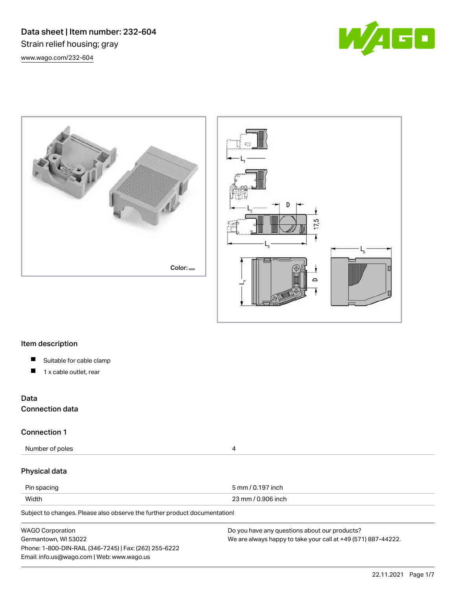Data sheet | Item number: 232-604 Strain relief housing; gray [www.wago.com/232-604](http://www.wago.com/232-604)







# Item description

- $\blacksquare$ Suitable for cable clamp
- $\blacksquare$ 1 x cable outlet, rear

# Data

Connection data

# Connection 1

Number of poles 4

# Physical data

| Pin spacing | 5 mm / 0.197 inch          |
|-------------|----------------------------|
| Width       | 0.906 inch<br>ົດຕ<br>)? mm |

Subject to changes. Please also observe the further product documentation!

| <b>WAGO Corporation</b>                                | Do you have any questions about our products?                 |
|--------------------------------------------------------|---------------------------------------------------------------|
| Germantown, WI 53022                                   | We are always happy to take your call at +49 (571) 887-44222. |
| Phone: 1-800-DIN-RAIL (346-7245)   Fax: (262) 255-6222 |                                                               |
| Email: info.us@wago.com   Web: www.wago.us             |                                                               |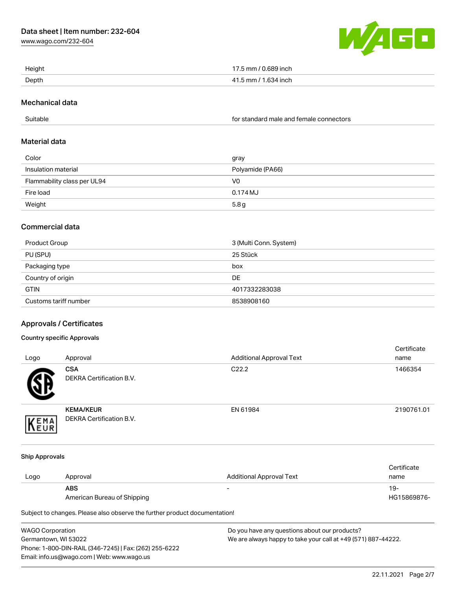[www.wago.com/232-604](http://www.wago.com/232-604)



| Height | 17.5 mm / 0.689 inch |
|--------|----------------------|
| Depth  | 41.5 mm / 1.634 inch |

## Mechanical data

Suitable for standard male and female connectors

#### Material data

| Color                       | gray             |
|-----------------------------|------------------|
| Insulation material         | Polyamide (PA66) |
| Flammability class per UL94 | V0               |
| Fire load                   | 0.174 MJ         |
| Weight                      | 5.8 <sub>g</sub> |

# Commercial data

| Product Group         | 3 (Multi Conn. System) |
|-----------------------|------------------------|
| PU (SPU)              | 25 Stück               |
| Packaging type        | box                    |
| Country of origin     | DE                     |
| <b>GTIN</b>           | 4017332283038          |
| Customs tariff number | 8538908160             |

# Approvals / Certificates

## Country specific Approvals

| Logo                  | Approval                                     | <b>Additional Approval Text</b> | Certificate<br>name |
|-----------------------|----------------------------------------------|---------------------------------|---------------------|
|                       | <b>CSA</b><br>DEKRA Certification B.V.       | C <sub>22.2</sub>               | 1466354             |
| EMA<br>EUR            | <b>KEMA/KEUR</b><br>DEKRA Certification B.V. | EN 61984                        | 2190761.01          |
| <b>Ship Approvals</b> |                                              |                                 | Certificate         |

| Logo | Approval                    | Additional Approval Text | <b>VULLIVULV</b><br>name |
|------|-----------------------------|--------------------------|--------------------------|
|      | ABS                         | -                        | 19-                      |
|      | American Bureau of Shipping |                          | HG15869876-              |

Subject to changes. Please also observe the further product documentation!

WAGO Corporation Germantown, WI 53022 Phone: 1-800-DIN-RAIL (346-7245) | Fax: (262) 255-6222 Email: info.us@wago.com | Web: www.wago.us Do you have any questions about our products? We are always happy to take your call at +49 (571) 887-44222.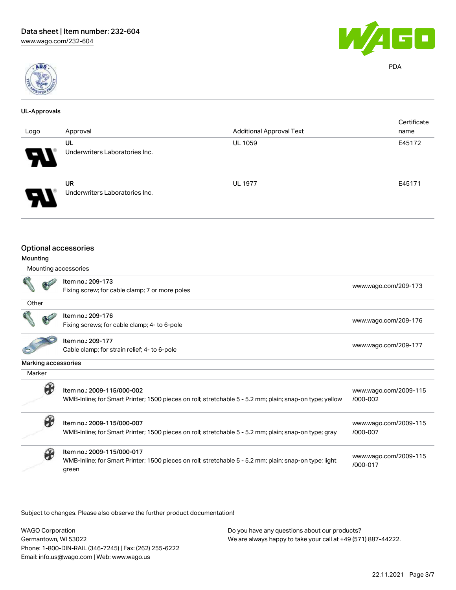

#### UL-Approvals

| Logo                | Approval                                       | <b>Additional Approval Text</b> | Certificate<br>name   |
|---------------------|------------------------------------------------|---------------------------------|-----------------------|
|                     | UL                                             | <b>UL 1059</b>                  | E45172                |
|                     | Underwriters Laboratories Inc.                 |                                 |                       |
|                     |                                                |                                 |                       |
|                     | <b>UR</b>                                      | <b>UL 1977</b>                  | E45171                |
|                     | Underwriters Laboratories Inc.                 |                                 |                       |
|                     |                                                |                                 |                       |
|                     | <b>Optional accessories</b>                    |                                 |                       |
| Mounting            |                                                |                                 |                       |
|                     | Mounting accessories                           |                                 |                       |
|                     | Item no.: 209-173                              |                                 | www.wago.com/209-173  |
|                     | Fixing screw; for cable clamp; 7 or more poles |                                 |                       |
| Other               |                                                |                                 |                       |
|                     | Item no.: 209-176                              |                                 |                       |
|                     | Fixing screws; for cable clamp; 4- to 6-pole   |                                 | www.wago.com/209-176  |
|                     | Item no.: 209-177                              |                                 |                       |
|                     | Cable clamp; for strain relief; 4- to 6-pole   |                                 | www.wago.com/209-177  |
| Marking accessories |                                                |                                 |                       |
| Marker              |                                                |                                 |                       |
| $\theta$            | Item no.: 2009-115/000-002                     |                                 | www.wago.com/2009-115 |

Item no.: 2009-115/000-002  $\bullet$ WMB-Inline; for Smart Printer; 1500 pieces on roll; stretchable 5 - 5.2 mm; plain; snap-on type; yellow [/000-002](http://www.wago.com/2009-115/000-002)

Item no.: 2009-115/000-007 WMB-Inline; for Smart Printer; 1500 pieces on roll; stretchable 5 - 5.2 mm; plain; snap-on type; gray [www.wago.com/2009-115](http://www.wago.com/2009-115/000-007) [/000-007](http://www.wago.com/2009-115/000-007) Item no.: 2009-115/000-017 WMB-Inline; for Smart Printer; 1500 pieces on roll; stretchable 5 - 5.2 mm; plain; snap-on type; light green [www.wago.com/2009-115](http://www.wago.com/2009-115/000-017) [/000-017](http://www.wago.com/2009-115/000-017)

Subject to changes. Please also observe the further product documentation!

WAGO Corporation Germantown, WI 53022 Phone: 1-800-DIN-RAIL (346-7245) | Fax: (262) 255-6222 Email: info.us@wago.com | Web: www.wago.us Do you have any questions about our products? We are always happy to take your call at +49 (571) 887-44222.



PDA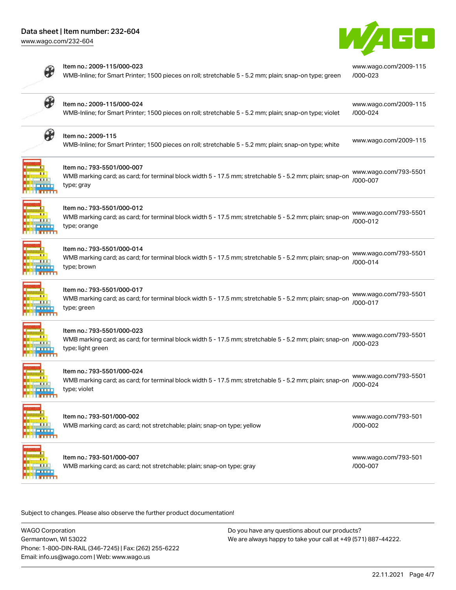# Data sheet | Item number: 232-604

[www.wago.com/232-604](http://www.wago.com/232-604)



[www.wago.com/2009-115](http://www.wago.com/2009-115/000-023)

[/000-023](http://www.wago.com/2009-115/000-023)



#### Item no.: 2009-115/000-023

WMB-Inline; for Smart Printer; 1500 pieces on roll; stretchable 5 - 5.2 mm; plain; snap-on type; green

| B        | Item no.: 2009-115/000-024<br>WMB-Inline; for Smart Printer; 1500 pieces on roll; stretchable 5 - 5.2 mm; plain; snap-on type; violet                      | www.wago.com/2009-115<br>/000-024 |
|----------|------------------------------------------------------------------------------------------------------------------------------------------------------------|-----------------------------------|
| H        | Item no.: 2009-115<br>WMB-Inline; for Smart Printer; 1500 pieces on roll; stretchable 5 - 5.2 mm; plain; snap-on type; white                               | www.wago.com/2009-115             |
|          | Item no.: 793-5501/000-007<br>WMB marking card; as card; for terminal block width 5 - 17.5 mm; stretchable 5 - 5.2 mm; plain; snap-on<br>type; gray        | www.wago.com/793-5501<br>/000-007 |
|          | Item no.: 793-5501/000-012<br>WMB marking card; as card; for terminal block width 5 - 17.5 mm; stretchable 5 - 5.2 mm; plain; snap-on<br>type; orange      | www.wago.com/793-5501<br>/000-012 |
|          | Item no.: 793-5501/000-014<br>WMB marking card; as card; for terminal block width 5 - 17.5 mm; stretchable 5 - 5.2 mm; plain; snap-on<br>type; brown       | www.wago.com/793-5501<br>/000-014 |
|          | Item no.: 793-5501/000-017<br>WMB marking card; as card; for terminal block width 5 - 17.5 mm; stretchable 5 - 5.2 mm; plain; snap-on<br>type; green       | www.wago.com/793-5501<br>/000-017 |
|          | Item no.: 793-5501/000-023<br>WMB marking card; as card; for terminal block width 5 - 17.5 mm; stretchable 5 - 5.2 mm; plain; snap-on<br>type; light green | www.wago.com/793-5501<br>/000-023 |
|          | Item no.: 793-5501/000-024<br>WMB marking card; as card; for terminal block width 5 - 17.5 mm; stretchable 5 - 5.2 mm; plain; snap-on<br>type; violet      | www.wago.com/793-5501<br>/000-024 |
| m<br>111 | Item no.: 793-501/000-002<br>WMB marking card; as card; not stretchable; plain; snap-on type; yellow                                                       | www.wago.com/793-501<br>/000-002  |
|          | Item no.: 793-501/000-007<br>WMB marking card; as card; not stretchable; plain; snap-on type; gray                                                         | www.wago.com/793-501<br>/000-007  |

Subject to changes. Please also observe the further product documentation!

WAGO Corporation Germantown, WI 53022 Phone: 1-800-DIN-RAIL (346-7245) | Fax: (262) 255-6222 Email: info.us@wago.com | Web: www.wago.us Do you have any questions about our products? We are always happy to take your call at +49 (571) 887-44222.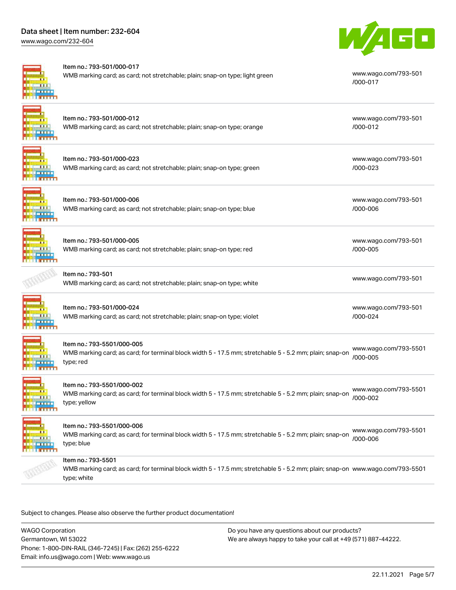# Data sheet | Item number: 232-604

[www.wago.com/232-604](http://www.wago.com/232-604)



#### Item no.: 793-501/000-017



|                         | WMB marking card; as card; not stretchable; plain; snap-on type; light green                                                                                       | www.wago.com/793-501<br>/000-017  |
|-------------------------|--------------------------------------------------------------------------------------------------------------------------------------------------------------------|-----------------------------------|
|                         | Item no.: 793-501/000-012<br>WMB marking card; as card; not stretchable; plain; snap-on type; orange                                                               | www.wago.com/793-501<br>/000-012  |
|                         | Item no.: 793-501/000-023<br>WMB marking card; as card; not stretchable; plain; snap-on type; green                                                                | www.wago.com/793-501<br>/000-023  |
|                         | Item no.: 793-501/000-006<br>WMB marking card; as card; not stretchable; plain; snap-on type; blue                                                                 | www.wago.com/793-501<br>/000-006  |
|                         | Item no.: 793-501/000-005<br>WMB marking card; as card; not stretchable; plain; snap-on type; red                                                                  | www.wago.com/793-501<br>/000-005  |
|                         | Item no.: 793-501<br>WMB marking card; as card; not stretchable; plain; snap-on type; white                                                                        | www.wago.com/793-501              |
|                         | Item no.: 793-501/000-024<br>WMB marking card; as card; not stretchable; plain; snap-on type; violet                                                               | www.wago.com/793-501<br>/000-024  |
|                         | Item no.: 793-5501/000-005<br>WMB marking card; as card; for terminal block width 5 - 17.5 mm; stretchable 5 - 5.2 mm; plain; snap-on<br>type; red                 | www.wago.com/793-5501<br>/000-005 |
| n a mitin               | Item no.: 793-5501/000-002<br>WMB marking card; as card; for terminal block width 5 - 17.5 mm; stretchable 5 - 5.2 mm; plain; snap-on<br>type; yellow              | www.wago.com/793-5501<br>/000-002 |
| 111<br><b>SHAMMLERS</b> | Item no.: 793-5501/000-006<br>WMB marking card; as card; for terminal block width 5 - 17.5 mm; stretchable 5 - 5.2 mm; plain; snap-on<br>type; blue                | www.wago.com/793-5501<br>/000-006 |
|                         | Item no.: 793-5501<br>WMB marking card; as card; for terminal block width 5 - 17.5 mm; stretchable 5 - 5.2 mm; plain; snap-on www.wago.com/793-5501<br>type; white |                                   |

Subject to changes. Please also observe the further product documentation!

WAGO Corporation Germantown, WI 53022 Phone: 1-800-DIN-RAIL (346-7245) | Fax: (262) 255-6222 Email: info.us@wago.com | Web: www.wago.us

Do you have any questions about our products? We are always happy to take your call at +49 (571) 887-44222.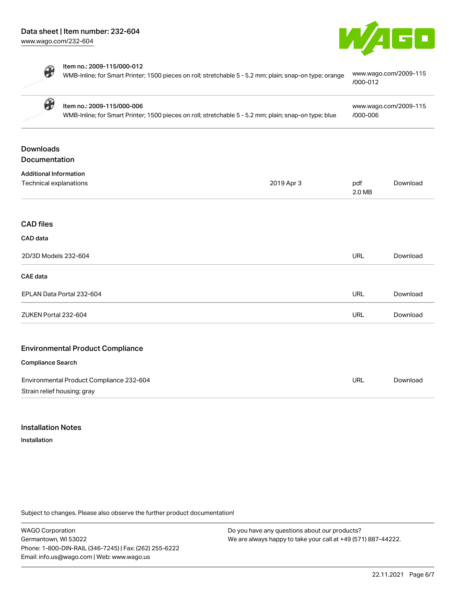

 $\boldsymbol{\theta}$ 

| ltem no.: 2009-115/000-012                                                                              |                       |
|---------------------------------------------------------------------------------------------------------|-----------------------|
| WMB-Inline; for Smart Printer; 1500 pieces on roll; stretchable 5 - 5.2 mm; plain; snap-on type; orange | www.wago.com/2009-115 |
|                                                                                                         | /000-012              |

|                               | $\boldsymbol{\theta}$<br>Item no.: 2009-115/000-006<br>WMB-Inline; for Smart Printer; 1500 pieces on roll; stretchable 5 - 5.2 mm; plain; snap-on type; blue |            | www.wago.com/2009-115<br>/000-006 |          |
|-------------------------------|--------------------------------------------------------------------------------------------------------------------------------------------------------------|------------|-----------------------------------|----------|
| <b>Downloads</b>              |                                                                                                                                                              |            |                                   |          |
| Documentation                 |                                                                                                                                                              |            |                                   |          |
| <b>Additional Information</b> |                                                                                                                                                              |            |                                   |          |
| Technical explanations        |                                                                                                                                                              | 2019 Apr 3 | pdf<br>2.0 MB                     | Download |
| <b>CAD</b> files              |                                                                                                                                                              |            |                                   |          |
| CAD data                      |                                                                                                                                                              |            |                                   |          |
| 2D/3D Models 232-604          |                                                                                                                                                              |            | <b>URL</b>                        | Download |
| CAE data                      |                                                                                                                                                              |            |                                   |          |
|                               | EPLAN Data Portal 232-604                                                                                                                                    |            | URL                               | Download |
| ZUKEN Portal 232-604          |                                                                                                                                                              |            | URL                               | Download |
|                               | <b>Environmental Product Compliance</b>                                                                                                                      |            |                                   |          |
| <b>Compliance Search</b>      |                                                                                                                                                              |            |                                   |          |
|                               |                                                                                                                                                              |            |                                   |          |
|                               | Environmental Product Compliance 232-604                                                                                                                     |            | URL                               | Download |
| Strain relief housing; gray   |                                                                                                                                                              |            |                                   |          |

# Installation Notes

Installation

Subject to changes. Please also observe the further product documentation!

WAGO Corporation Germantown, WI 53022 Phone: 1-800-DIN-RAIL (346-7245) | Fax: (262) 255-6222 Email: info.us@wago.com | Web: www.wago.us

Do you have any questions about our products? We are always happy to take your call at +49 (571) 887-44222.